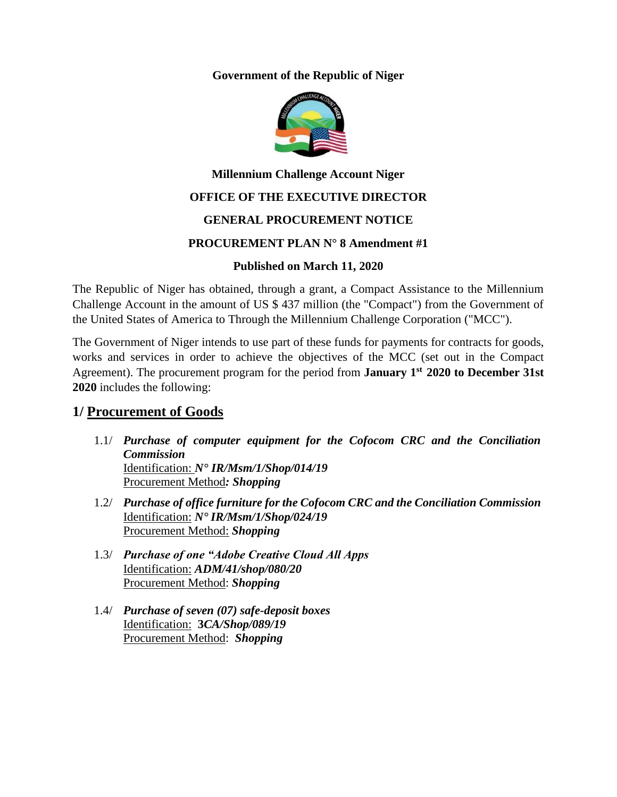#### **Government of the Republic of Niger**



# **Millennium Challenge Account Niger OFFICE OF THE EXECUTIVE DIRECTOR**

### **GENERAL PROCUREMENT NOTICE**

### **PROCUREMENT PLAN N° 8 Amendment #1**

### **Published on March 11, 2020**

The Republic of Niger has obtained, through a grant, a Compact Assistance to the Millennium Challenge Account in the amount of US \$ 437 million (the "Compact") from the Government of the United States of America to Through the Millennium Challenge Corporation ("MCC").

The Government of Niger intends to use part of these funds for payments for contracts for goods, works and services in order to achieve the objectives of the MCC (set out in the Compact Agreement). The procurement program for the period from **January 1 st 2020 to December 31st 2020** includes the following:

### **1/ Procurement of Goods**

- 1.1/ *Purchase of computer equipment for the Cofocom CRC and the Conciliation Commission* Identification: *N° IR/Msm/1/Shop/014/19* Procurement Method*: Shopping*
- 1.2/ *Purchase of office furniture for the Cofocom CRC and the Conciliation Commission* Identification: *N° IR/Msm/1/Shop/024/19* Procurement Method: *Shopping*
- 1.3/ *Purchase of one "Adobe Creative Cloud All Apps* Identification: *ADM/41/shop/080/20* Procurement Method: *Shopping*
- 1.4/ *Purchase of seven (07) safe-deposit boxes* Identification: **3***CA/Shop/089/19* Procurement Method: *Shopping*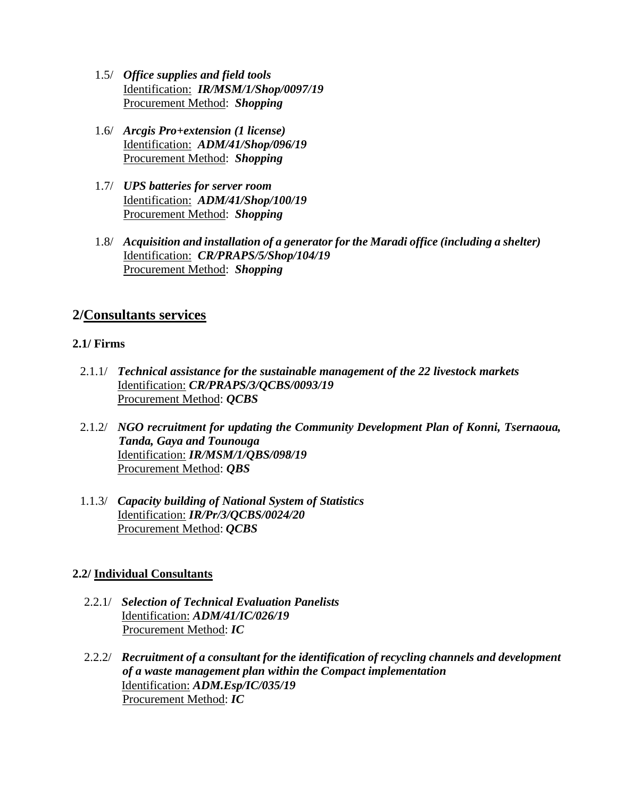- 1.5/ *Office supplies and field tools* Identification: *IR/MSM/1/Shop/0097/19* Procurement Method: *Shopping*
- 1.6/ *Arcgis Pro+extension (1 license)* Identification: *ADM/41/Shop/096/19* Procurement Method: *Shopping*
- 1.7/ *UPS batteries for server room* Identification: *ADM/41/Shop/100/19* Procurement Method: *Shopping*
- 1.8/ *Acquisition and installation of a generator for the Maradi office (including a shelter)* Identification: *CR/PRAPS/5/Shop/104/19* Procurement Method: *Shopping*

### **2/Consultants services**

### **2.1/ Firms**

- 2.1.1/ *Technical assistance for the sustainable management of the 22 livestock markets* Identification: *CR/PRAPS/3/QCBS/0093/19* Procurement Method: *QCBS*
- 2.1.2/ *NGO recruitment for updating the Community Development Plan of Konni, Tsernaoua, Tanda, Gaya and Tounouga* Identification: *IR/MSM/1/QBS/098/19* Procurement Method: *QBS*
- 1.1.3/ *Capacity building of National System of Statistics* Identification: *IR/Pr/3/QCBS/0024/20* Procurement Method: *QCBS*

### **2.2/ Individual Consultants**

- 2.2.1/ *Selection of Technical Evaluation Panelists*  Identification: *ADM/41/IC/026/19* Procurement Method: *IC*
- 2.2.2/ *Recruitment of a consultant for the identification of recycling channels and development of a waste management plan within the Compact implementation* Identification: *ADM.Esp/IC/035/19* Procurement Method: *IC*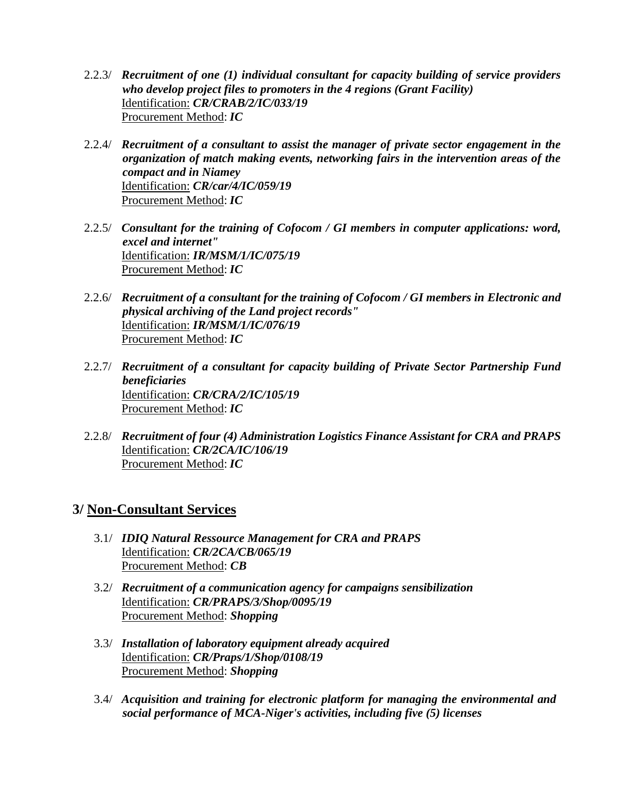- 2.2.3/ *Recruitment of one (1) individual consultant for capacity building of service providers who develop project files to promoters in the 4 regions (Grant Facility)* Identification: *CR/CRAB/2/IC/033/19* Procurement Method: *IC*
- 2.2.4/ *Recruitment of a consultant to assist the manager of private sector engagement in the organization of match making events, networking fairs in the intervention areas of the compact and in Niamey* Identification: *CR/car/4/IC/059/19* Procurement Method: *IC*
- 2.2.5/ *Consultant for the training of Cofocom / GI members in computer applications: word, excel and internet"* Identification: *IR/MSM/1/IC/075/19* Procurement Method: *IC*
- 2.2.6/ *Recruitment of a consultant for the training of Cofocom / GI members in Electronic and physical archiving of the Land project records"* Identification: *IR/MSM/1/IC/076/19* Procurement Method: *IC*
- 2.2.7/ *Recruitment of a consultant for capacity building of Private Sector Partnership Fund beneficiaries* Identification: *CR/CRA/2/IC/105/19* Procurement Method: *IC*
- 2.2.8/ *Recruitment of four (4) Administration Logistics Finance Assistant for CRA and PRAPS* Identification: *CR/2CA/IC/106/19* Procurement Method: *IC*

## **3/ Non-Consultant Services**

- 3.1/ *IDIQ Natural Ressource Management for CRA and PRAPS* Identification: *CR/2CA/CB/065/19* Procurement Method: *CB*
- 3.2/ *Recruitment of a communication agency for campaigns sensibilization* Identification: *CR/PRAPS/3/Shop/0095/19* Procurement Method: *Shopping*
- 3.3/ *Installation of laboratory equipment already acquired* Identification: *CR/Praps/1/Shop/0108/19* Procurement Method: *Shopping*
- 3.4/ *Acquisition and training for electronic platform for managing the environmental and social performance of MCA-Niger's activities, including five (5) licenses*